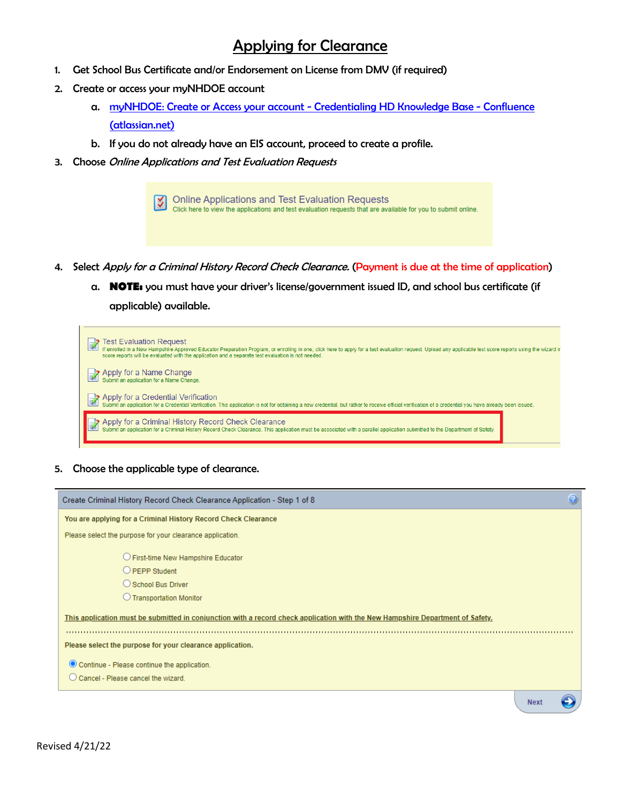## Applying for Clearance

- 1. Get School Bus Certificate and/or Endorsement on License from DMV (if required)
- 2. Create or access your myNHDOE account
	- a. [myNHDOE: Create or Access your account -](https://nhdoepm.atlassian.net/wiki/spaces/CHD/pages/1356136549/myNHDOE+Create+or+Access+your+account) Credentialing HD Knowledge Base Confluence [\(atlassian.net\)](https://nhdoepm.atlassian.net/wiki/spaces/CHD/pages/1356136549/myNHDOE+Create+or+Access+your+account)
	- b. If you do not already have an EIS account, proceed to create a profile.
- 3. Choose Online Applications and Test Evaluation Requests



- 4. Select Apply for a Criminal History Record Check Clearance. (Payment is due at the time of application)
	- a. **NOTE:** you must have your driver's license/government issued ID, and school bus certificate (if applicable) available.

| Test Evaluation Request<br>If enrolled in a New Hampshire Approved Educator Preparation Program, or enrolling in one, click here to apply for a test evaluation request. Upload any applicable test score reports using the wizard in<br>score reports will be evaluated with the application and a separate test evaluation is not needed. |  |
|---------------------------------------------------------------------------------------------------------------------------------------------------------------------------------------------------------------------------------------------------------------------------------------------------------------------------------------------|--|
| Apply for a Name Change<br>Submit an application for a Name Change.                                                                                                                                                                                                                                                                         |  |
| ↑ Apply for a Credential Verification<br>I Submit an application for a Credential Verification. This application is not for obtaining a new credential, but rather to receive official verification of a credential you have alr                                                                                                            |  |
| Apply for a Criminal History Record Check Clearance<br>Submit an application for a Criminal History Record Check Clearance. This application must be associated with a parallel application submitted to the Department of Safety                                                                                                           |  |

5. Choose the applicable type of clearance.

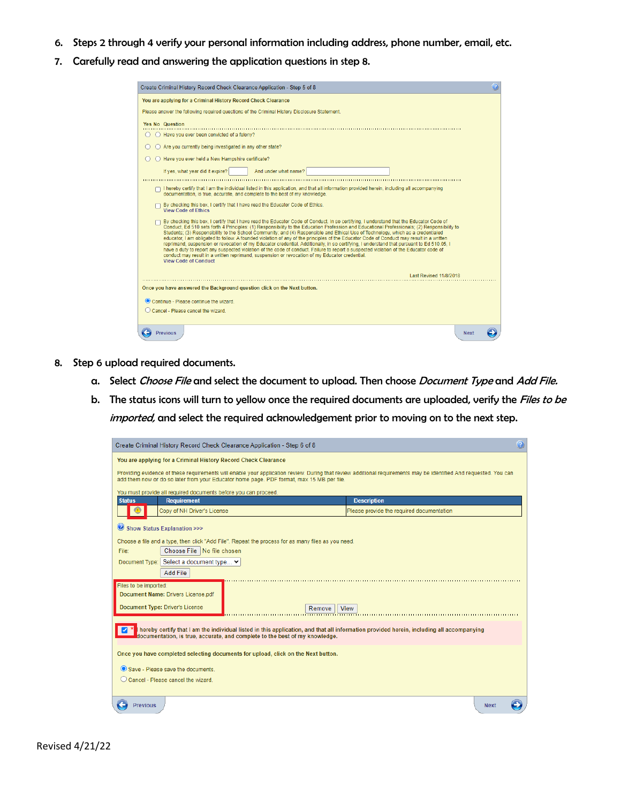- 6. Steps 2 through 4 verify your personal information including address, phone number, email, etc.
- 7. Carefully read and answering the application questions in step 8.

| Create Criminal History Record Check Clearance Application - Step 5 of 8                                                                                                                                                                                                                                                                                                                                                                                                                                                                                                                                                                                                                                                                                                                                                                                                                                                                                                                       | 2 |  |
|------------------------------------------------------------------------------------------------------------------------------------------------------------------------------------------------------------------------------------------------------------------------------------------------------------------------------------------------------------------------------------------------------------------------------------------------------------------------------------------------------------------------------------------------------------------------------------------------------------------------------------------------------------------------------------------------------------------------------------------------------------------------------------------------------------------------------------------------------------------------------------------------------------------------------------------------------------------------------------------------|---|--|
| You are applying for a Criminal History Record Check Clearance                                                                                                                                                                                                                                                                                                                                                                                                                                                                                                                                                                                                                                                                                                                                                                                                                                                                                                                                 |   |  |
| Please answer the following required questions of the Criminal History Disclosure Statement.                                                                                                                                                                                                                                                                                                                                                                                                                                                                                                                                                                                                                                                                                                                                                                                                                                                                                                   |   |  |
| <b>Yes No Question</b><br>Have you ever been convicted of a felony?                                                                                                                                                                                                                                                                                                                                                                                                                                                                                                                                                                                                                                                                                                                                                                                                                                                                                                                            |   |  |
| Are you currently being investigated in any other state?                                                                                                                                                                                                                                                                                                                                                                                                                                                                                                                                                                                                                                                                                                                                                                                                                                                                                                                                       |   |  |
| ◯ Have you ever held a New Hampshire certificate?                                                                                                                                                                                                                                                                                                                                                                                                                                                                                                                                                                                                                                                                                                                                                                                                                                                                                                                                              |   |  |
| And under what name?<br>If yes, what year did it expire?                                                                                                                                                                                                                                                                                                                                                                                                                                                                                                                                                                                                                                                                                                                                                                                                                                                                                                                                       |   |  |
| I hereby certify that I am the individual listed in this application, and that all information provided herein, including all accompanying<br>documentation, is true, accurate, and complete to the best of my knowledge.                                                                                                                                                                                                                                                                                                                                                                                                                                                                                                                                                                                                                                                                                                                                                                      |   |  |
| By checking this box, I certify that I have read the Educator Code of Ethics.<br><b>View Code of Ethics</b>                                                                                                                                                                                                                                                                                                                                                                                                                                                                                                                                                                                                                                                                                                                                                                                                                                                                                    |   |  |
| By checking this box, I certify that I have read the Educator Code of Conduct. In so certifying, I understand that the Educator Code of<br>Conduct, Ed 510 sets forth 4 Principles: (1) Responsibility to the Education Profession and Educational Professionals: (2) Responsibility to<br>Students: (3) Responsibility to the School Community: and (4) Responsible and Ethical Use of Technology, which as a credentialed<br>educator. I am obligated to follow. A founded violation of any of the principles of the Educator Code of Conduct may result in a written<br>reprimand, suspension or revocation of my Educator credential, Additionally, in so certifying, I understand that pursuant to Ed 510.05, I<br>have a duty to report any suspected violation of the code of conduct. Failure to report a suspected violation of the Educator code of<br>conduct may result in a written reprimand, suspension or revocation of my Educator credential.<br><b>View Code of Conduct</b> |   |  |
| Last Revised 11/8/2018                                                                                                                                                                                                                                                                                                                                                                                                                                                                                                                                                                                                                                                                                                                                                                                                                                                                                                                                                                         |   |  |
| Once you have answered the Background question click on the Next button.                                                                                                                                                                                                                                                                                                                                                                                                                                                                                                                                                                                                                                                                                                                                                                                                                                                                                                                       |   |  |
| Continue - Please continue the wizard                                                                                                                                                                                                                                                                                                                                                                                                                                                                                                                                                                                                                                                                                                                                                                                                                                                                                                                                                          |   |  |
| $\bigcirc$ Cancel - Please cancel the wizard.                                                                                                                                                                                                                                                                                                                                                                                                                                                                                                                                                                                                                                                                                                                                                                                                                                                                                                                                                  |   |  |
| <b>Previous</b><br><b>Next</b>                                                                                                                                                                                                                                                                                                                                                                                                                                                                                                                                                                                                                                                                                                                                                                                                                                                                                                                                                                 |   |  |

- 8. Step 6 upload required documents.
	- a. Select Choose File and select the document to upload. Then choose Document Type and Add File.
	- b. The status icons will turn to yellow once the required documents are uploaded, verify the Files to be imported, and select the required acknowledgement prior to moving on to the next step.

| ව<br>Create Criminal History Record Check Clearance Application - Step 6 of 8                                                                                                                                                                                  |                                           |  |  |
|----------------------------------------------------------------------------------------------------------------------------------------------------------------------------------------------------------------------------------------------------------------|-------------------------------------------|--|--|
| You are applying for a Criminal History Record Check Clearance                                                                                                                                                                                                 |                                           |  |  |
| Providing evidence of these requirements will enable your application review. During that review additional requirements may be identified And requested. You can<br>add them now or do so later from your Educator home page. PDF format, max 15 MB per file. |                                           |  |  |
| You must provide all required documents before you can proceed.                                                                                                                                                                                                |                                           |  |  |
| <b>Status</b><br><b>Requirement</b>                                                                                                                                                                                                                            | <b>Description</b>                        |  |  |
| Copy of NH Driver's License                                                                                                                                                                                                                                    | Please provide the required documentation |  |  |
| $\odot$<br>Show Status Explanation >>>                                                                                                                                                                                                                         |                                           |  |  |
| Choose a file and a type, then click "Add File". Repeat the process for as many files as you need.                                                                                                                                                             |                                           |  |  |
| Choose File   No file chosen<br>File <sup>-</sup>                                                                                                                                                                                                              |                                           |  |  |
| Document Type: Select a document type ↓                                                                                                                                                                                                                        |                                           |  |  |
| Add File                                                                                                                                                                                                                                                       |                                           |  |  |
| Files to be imported:<br>Document Name: Drivers License.pdf                                                                                                                                                                                                    |                                           |  |  |
| <b>Document Type: Driver's License</b><br>Remove                                                                                                                                                                                                               | View                                      |  |  |
| I hereby certify that I am the individual listed in this application, and that all information provided herein, including all accompanying<br>documentation, is true, accurate, and complete to the best of my knowledge.                                      |                                           |  |  |
| Once you have completed selecting documents for upload, click on the Next button.                                                                                                                                                                              |                                           |  |  |
| Save - Please save the documents                                                                                                                                                                                                                               |                                           |  |  |
| ○ Cancel - Please cancel the wizard                                                                                                                                                                                                                            |                                           |  |  |
|                                                                                                                                                                                                                                                                |                                           |  |  |
| <b>Previous</b>                                                                                                                                                                                                                                                | <b>Next</b>                               |  |  |